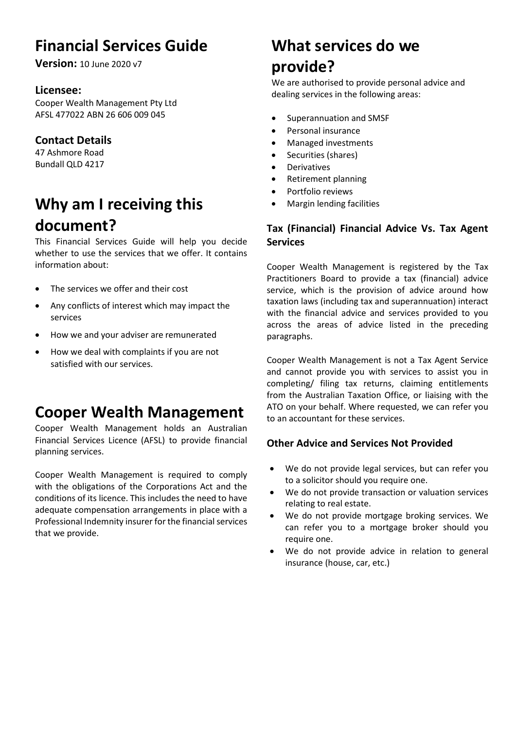# **Financial Services Guide**

**Version:** 10 June 2020 v7

### **Licensee:**

Cooper Wealth Management Pty Ltd AFSL 477022 ABN 26 606 009 045

## **Contact Details**

47 Ashmore Road Bundall QLD 4217

# **Why am I receiving this document?**

This Financial Services Guide will help you decide whether to use the services that we offer. It contains information about:

- The services we offer and their cost
- Any conflicts of interest which may impact the services
- How we and your adviser are remunerated
- How we deal with complaints if you are not satisfied with our services.

## **Cooper Wealth Management**

Cooper Wealth Management holds an Australian Financial Services Licence (AFSL) to provide financial planning services.

Cooper Wealth Management is required to comply with the obligations of the Corporations Act and the conditions of its licence. This includes the need to have adequate compensation arrangements in place with a Professional Indemnity insurer for the financial services that we provide.

# **What services do we provide?**

We are authorised to provide personal advice and dealing services in the following areas:

- Superannuation and SMSF
- Personal insurance
- Managed investments
- Securities (shares)
- Derivatives
- Retirement planning
- Portfolio reviews
- Margin lending facilities

### **Tax (Financial) Financial Advice Vs. Tax Agent Services**

Cooper Wealth Management is registered by the Tax Practitioners Board to provide a tax (financial) advice service, which is the provision of advice around how taxation laws (including tax and superannuation) interact with the financial advice and services provided to you across the areas of advice listed in the preceding paragraphs.

Cooper Wealth Management is not a Tax Agent Service and cannot provide you with services to assist you in completing/ filing tax returns, claiming entitlements from the Australian Taxation Office, or liaising with the ATO on your behalf. Where requested, we can refer you to an accountant for these services.

### **Other Advice and Services Not Provided**

- We do not provide legal services, but can refer you to a solicitor should you require one.
- We do not provide transaction or valuation services relating to real estate.
- We do not provide mortgage broking services. We can refer you to a mortgage broker should you require one.
- We do not provide advice in relation to general insurance (house, car, etc.)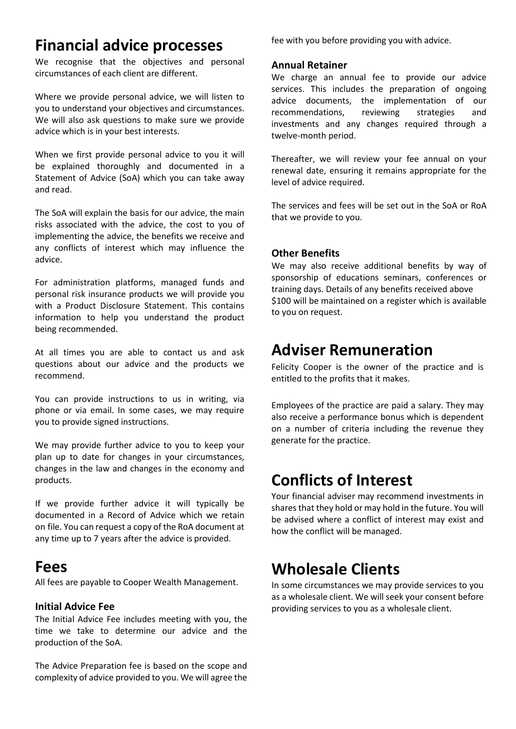## **Financial advice processes**

We recognise that the objectives and personal circumstances of each client are different.

Where we provide personal advice, we will listen to you to understand your objectives and circumstances. We will also ask questions to make sure we provide advice which is in your best interests.

When we first provide personal advice to you it will be explained thoroughly and documented in a Statement of Advice (SoA) which you can take away and read.

The SoA will explain the basis for our advice, the main risks associated with the advice, the cost to you of implementing the advice, the benefits we receive and any conflicts of interest which may influence the advice.

For administration platforms, managed funds and personal risk insurance products we will provide you with a Product Disclosure Statement. This contains information to help you understand the product being recommended.

At all times you are able to contact us and ask questions about our advice and the products we recommend.

You can provide instructions to us in writing, via phone or via email. In some cases, we may require you to provide signed instructions.

We may provide further advice to you to keep your plan up to date for changes in your circumstances, changes in the law and changes in the economy and products.

If we provide further advice it will typically be documented in a Record of Advice which we retain on file. You can request a copy of the RoA document at any time up to 7 years after the advice is provided.

## **Fees**

All fees are payable to Cooper Wealth Management.

### **Initial Advice Fee**

The Initial Advice Fee includes meeting with you, the time we take to determine our advice and the production of the SoA.

The Advice Preparation fee is based on the scope and complexity of advice provided to you. We will agree the

fee with you before providing you with advice.

### **Annual Retainer**

We charge an annual fee to provide our advice services. This includes the preparation of ongoing advice documents, the implementation of our recommendations, reviewing strategies and investments and any changes required through a twelve-month period.

Thereafter, we will review your fee annual on your renewal date, ensuring it remains appropriate for the level of advice required.

The services and fees will be set out in the SoA or RoA that we provide to you.

### **Other Benefits**

We may also receive additional benefits by way of sponsorship of educations seminars, conferences or training days. Details of any benefits received above \$100 will be maintained on a register which is available to you on request.

## **Adviser Remuneration**

Felicity Cooper is the owner of the practice and is entitled to the profits that it makes.

Employees of the practice are paid a salary. They may also receive a performance bonus which is dependent on a number of criteria including the revenue they generate for the practice.

# **Conflicts of Interest**

Your financial adviser may recommend investments in shares that they hold or may hold in the future. You will be advised where a conflict of interest may exist and how the conflict will be managed.

## **Wholesale Clients**

In some circumstances we may provide services to you as a wholesale client. We will seek your consent before providing services to you as a wholesale client.